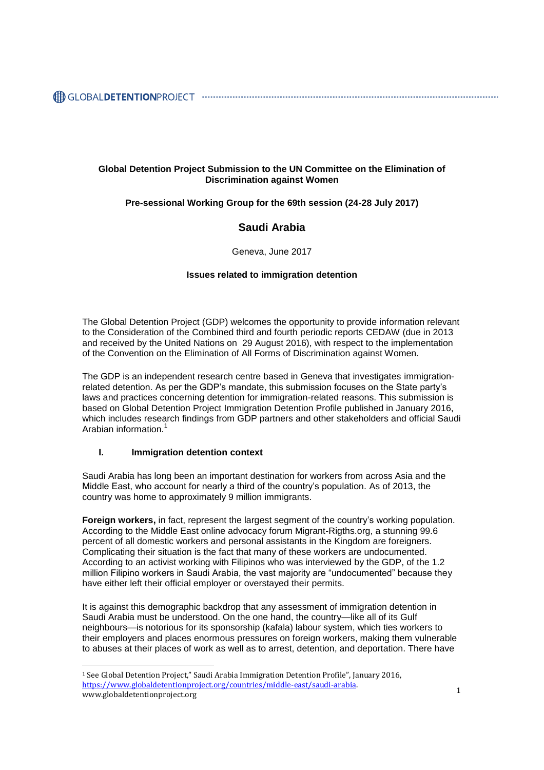### **Global Detention Project Submission to the UN Committee on the Elimination of Discrimination against Women**

## **Pre-sessional Working Group for the 69th session (24-28 July 2017)**

# **Saudi Arabia**

Geneva, June 2017

#### **Issues related to immigration detention**

The Global Detention Project (GDP) welcomes the opportunity to provide information relevant to the Consideration of the Combined third and fourth periodic reports CEDAW (due in 2013 and received by the United Nations on 29 August 2016), with respect to the implementation of the Convention on the Elimination of All Forms of Discrimination against Women.

The GDP is an independent research centre based in Geneva that investigates immigrationrelated detention. As per the GDP's mandate, this submission focuses on the State party's laws and practices concerning detention for immigration-related reasons. This submission is based on Global Detention Project Immigration Detention Profile published in January 2016, which includes research findings from GDP partners and other stakeholders and official Saudi Arabian information.<sup>1</sup>

#### **I. Immigration detention context**

 $\overline{a}$ 

Saudi Arabia has long been an important destination for workers from across Asia and the Middle East, who account for nearly a third of the country's population. As of 2013, the country was home to approximately 9 million immigrants.

**Foreign workers,** in fact, represent the largest segment of the country's working population. According to the Middle East online advocacy forum Migrant-Rigths.org, a stunning 99.6 percent of all domestic workers and personal assistants in the Kingdom are foreigners. Complicating their situation is the fact that many of these workers are undocumented. According to an activist working with Filipinos who was interviewed by the GDP, of the 1.2 million Filipino workers in Saudi Arabia, the vast majority are "undocumented" because they have either left their official employer or overstayed their permits.

It is against this demographic backdrop that any assessment of immigration detention in Saudi Arabia must be understood. On the one hand, the country—like all of its Gulf neighbours—is notorious for its sponsorship (kafala) labour system, which ties workers to their employers and places enormous pressures on foreign workers, making them vulnerable to abuses at their places of work as well as to arrest, detention, and deportation. There have

<sup>&</sup>lt;u>negs://www.globaldetentionproject.org/countries/initiate-case/saddi-arabia</u>.<br>www.globaldetentionproject.org <sup>1</sup> See Global Detention Project," Saudi Arabia Immigration Detention Profile", January 2016, [https://www.globaldetentionproject.org/countries/middle-east/saudi-arabia.](https://www.globaldetentionproject.org/countries/middle-east/saudi-arabia)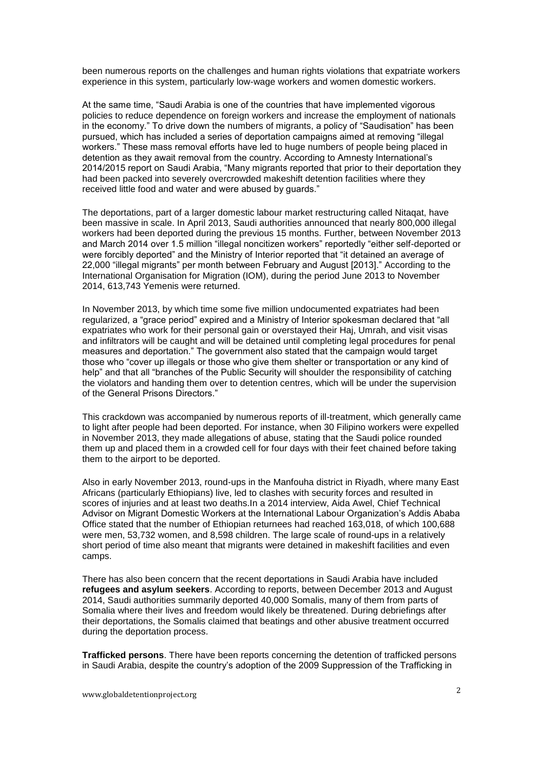been numerous reports on the challenges and human rights violations that expatriate workers experience in this system, particularly low-wage workers and women domestic workers.

At the same time, "Saudi Arabia is one of the countries that have implemented vigorous policies to reduce dependence on foreign workers and increase the employment of nationals in the economy." To drive down the numbers of migrants, a policy of "Saudisation" has been pursued, which has included a series of deportation campaigns aimed at removing "illegal workers." These mass removal efforts have led to huge numbers of people being placed in detention as they await removal from the country. According to Amnesty International's 2014/2015 report on Saudi Arabia, "Many migrants reported that prior to their deportation they had been packed into severely overcrowded makeshift detention facilities where they received little food and water and were abused by guards."

The deportations, part of a larger domestic labour market restructuring called Nitaqat, have been massive in scale. In April 2013, Saudi authorities announced that nearly 800,000 illegal workers had been deported during the previous 15 months. Further, between November 2013 and March 2014 over 1.5 million "illegal noncitizen workers" reportedly "either self-deported or were forcibly deported" and the Ministry of Interior reported that "it detained an average of 22,000 "illegal migrants" per month between February and August [2013]." According to the International Organisation for Migration (IOM), during the period June 2013 to November 2014, 613,743 Yemenis were returned.

In November 2013, by which time some five million undocumented expatriates had been regularized, a "grace period" expired and a Ministry of Interior spokesman declared that "all expatriates who work for their personal gain or overstayed their Haj, Umrah, and visit visas and infiltrators will be caught and will be detained until completing legal procedures for penal measures and deportation." The government also stated that the campaign would target those who "cover up illegals or those who give them shelter or transportation or any kind of help" and that all "branches of the Public Security will shoulder the responsibility of catching the violators and handing them over to detention centres, which will be under the supervision of the General Prisons Directors."

This crackdown was accompanied by numerous reports of ill-treatment, which generally came to light after people had been deported. For instance, when 30 Filipino workers were expelled in November 2013, they made allegations of abuse, stating that the Saudi police rounded them up and placed them in a crowded cell for four days with their feet chained before taking them to the airport to be deported.

Also in early November 2013, round-ups in the Manfouha district in Riyadh, where many East Africans (particularly Ethiopians) live, led to clashes with security forces and resulted in scores of injuries and at least two deaths.In a 2014 interview, Aida Awel, Chief Technical Advisor on Migrant Domestic Workers at the International Labour Organization's Addis Ababa Office stated that the number of Ethiopian returnees had reached 163,018, of which 100,688 were men, 53,732 women, and 8,598 children. The large scale of round-ups in a relatively short period of time also meant that migrants were detained in makeshift facilities and even camps.

There has also been concern that the recent deportations in Saudi Arabia have included **refugees and asylum seekers**. According to reports, between December 2013 and August 2014, Saudi authorities summarily deported 40,000 Somalis, many of them from parts of Somalia where their lives and freedom would likely be threatened. During debriefings after their deportations, the Somalis claimed that beatings and other abusive treatment occurred during the deportation process.

**Trafficked persons**. There have been reports concerning the detention of trafficked persons in Saudi Arabia, despite the country's adoption of the 2009 Suppression of the Trafficking in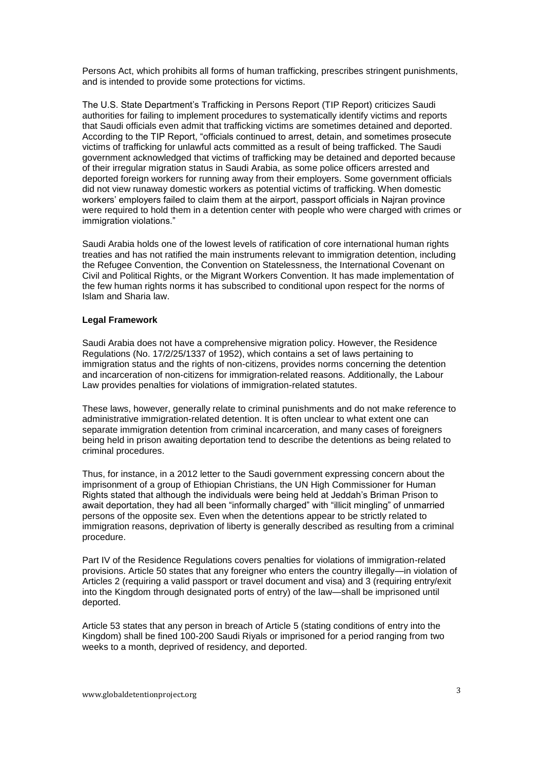Persons Act, which prohibits all forms of human trafficking, prescribes stringent punishments, and is intended to provide some protections for victims.

The U.S. State Department's Trafficking in Persons Report (TIP Report) criticizes Saudi authorities for failing to implement procedures to systematically identify victims and reports that Saudi officials even admit that trafficking victims are sometimes detained and deported. According to the TIP Report, "officials continued to arrest, detain, and sometimes prosecute victims of trafficking for unlawful acts committed as a result of being trafficked. The Saudi government acknowledged that victims of trafficking may be detained and deported because of their irregular migration status in Saudi Arabia, as some police officers arrested and deported foreign workers for running away from their employers. Some government officials did not view runaway domestic workers as potential victims of trafficking. When domestic workers' employers failed to claim them at the airport, passport officials in Najran province were required to hold them in a detention center with people who were charged with crimes or immigration violations."

Saudi Arabia holds one of the lowest levels of ratification of core international human rights treaties and has not ratified the main instruments relevant to immigration detention, including the Refugee Convention, the Convention on Statelessness, the International Covenant on Civil and Political Rights, or the Migrant Workers Convention. It has made implementation of the few human rights norms it has subscribed to conditional upon respect for the norms of Islam and Sharia law.

#### **Legal Framework**

Saudi Arabia does not have a comprehensive migration policy. However, the Residence Regulations (No. 17/2/25/1337 of 1952), which contains a set of laws pertaining to immigration status and the rights of non-citizens, provides norms concerning the detention and incarceration of non-citizens for immigration-related reasons. Additionally, the Labour Law provides penalties for violations of immigration-related statutes.

These laws, however, generally relate to criminal punishments and do not make reference to administrative immigration-related detention. It is often unclear to what extent one can separate immigration detention from criminal incarceration, and many cases of foreigners being held in prison awaiting deportation tend to describe the detentions as being related to criminal procedures.

Thus, for instance, in a 2012 letter to the Saudi government expressing concern about the imprisonment of a group of Ethiopian Christians, the UN High Commissioner for Human Rights stated that although the individuals were being held at Jeddah's Briman Prison to await deportation, they had all been "informally charged" with "illicit mingling" of unmarried persons of the opposite sex. Even when the detentions appear to be strictly related to immigration reasons, deprivation of liberty is generally described as resulting from a criminal procedure.

Part IV of the Residence Regulations covers penalties for violations of immigration-related provisions. Article 50 states that any foreigner who enters the country illegally—in violation of Articles 2 (requiring a valid passport or travel document and visa) and 3 (requiring entry/exit into the Kingdom through designated ports of entry) of the law—shall be imprisoned until deported.

Article 53 states that any person in breach of Article 5 (stating conditions of entry into the Kingdom) shall be fined 100-200 Saudi Riyals or imprisoned for a period ranging from two weeks to a month, deprived of residency, and deported.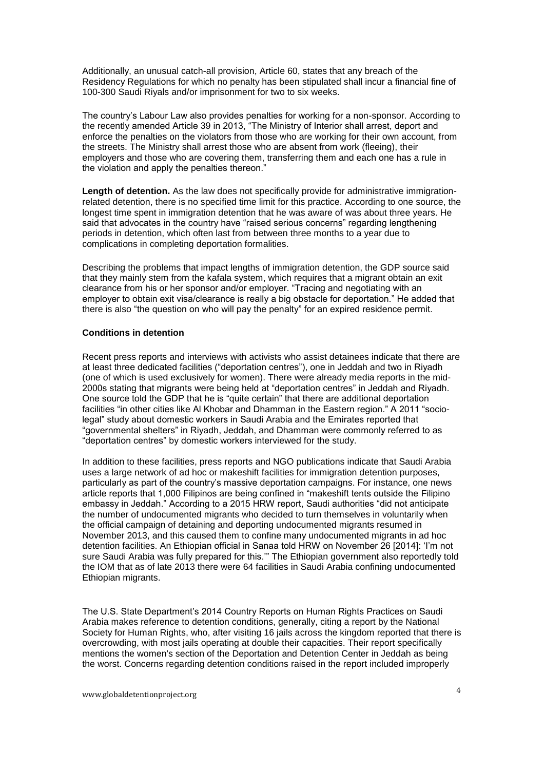Additionally, an unusual catch-all provision, Article 60, states that any breach of the Residency Regulations for which no penalty has been stipulated shall incur a financial fine of 100-300 Saudi Riyals and/or imprisonment for two to six weeks.

The country's Labour Law also provides penalties for working for a non-sponsor. According to the recently amended Article 39 in 2013, "The Ministry of Interior shall arrest, deport and enforce the penalties on the violators from those who are working for their own account, from the streets. The Ministry shall arrest those who are absent from work (fleeing), their employers and those who are covering them, transferring them and each one has a rule in the violation and apply the penalties thereon."

**Length of detention.** As the law does not specifically provide for administrative immigrationrelated detention, there is no specified time limit for this practice. According to one source, the longest time spent in immigration detention that he was aware of was about three years. He said that advocates in the country have "raised serious concerns" regarding lengthening periods in detention, which often last from between three months to a year due to complications in completing deportation formalities.

Describing the problems that impact lengths of immigration detention, the GDP source said that they mainly stem from the kafala system, which requires that a migrant obtain an exit clearance from his or her sponsor and/or employer. "Tracing and negotiating with an employer to obtain exit visa/clearance is really a big obstacle for deportation." He added that there is also "the question on who will pay the penalty" for an expired residence permit.

#### **Conditions in detention**

Recent press reports and interviews with activists who assist detainees indicate that there are at least three dedicated facilities ("deportation centres"), one in Jeddah and two in Riyadh (one of which is used exclusively for women). There were already media reports in the mid-2000s stating that migrants were being held at "deportation centres" in Jeddah and Riyadh. One source told the GDP that he is "quite certain" that there are additional deportation facilities "in other cities like Al Khobar and Dhamman in the Eastern region." A 2011 "sociolegal" study about domestic workers in Saudi Arabia and the Emirates reported that "governmental shelters" in Riyadh, Jeddah, and Dhamman were commonly referred to as "deportation centres" by domestic workers interviewed for the study.

In addition to these facilities, press reports and NGO publications indicate that Saudi Arabia uses a large network of ad hoc or makeshift facilities for immigration detention purposes, particularly as part of the country's massive deportation campaigns. For instance, one news article reports that 1,000 Filipinos are being confined in "makeshift tents outside the Filipino embassy in Jeddah." According to a 2015 HRW report, Saudi authorities "did not anticipate the number of undocumented migrants who decided to turn themselves in voluntarily when the official campaign of detaining and deporting undocumented migrants resumed in November 2013, and this caused them to confine many undocumented migrants in ad hoc detention facilities. An Ethiopian official in Sanaa told HRW on November 26 [2014]: 'I'm not sure Saudi Arabia was fully prepared for this.'" The Ethiopian government also reportedly told the IOM that as of late 2013 there were 64 facilities in Saudi Arabia confining undocumented Ethiopian migrants.

The U.S. State Department's 2014 Country Reports on Human Rights Practices on Saudi Arabia makes reference to detention conditions, generally, citing a report by the National Society for Human Rights, who, after visiting 16 jails across the kingdom reported that there is overcrowding, with most jails operating at double their capacities. Their report specifically mentions the women's section of the Deportation and Detention Center in Jeddah as being the worst. Concerns regarding detention conditions raised in the report included improperly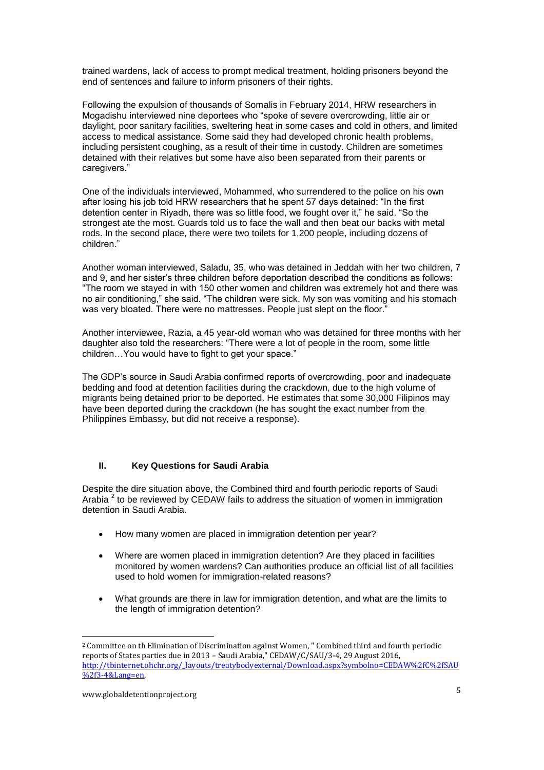trained wardens, lack of access to prompt medical treatment, holding prisoners beyond the end of sentences and failure to inform prisoners of their rights.

Following the expulsion of thousands of Somalis in February 2014, HRW researchers in Mogadishu interviewed nine deportees who "spoke of severe overcrowding, little air or daylight, poor sanitary facilities, sweltering heat in some cases and cold in others, and limited access to medical assistance. Some said they had developed chronic health problems, including persistent coughing, as a result of their time in custody. Children are sometimes detained with their relatives but some have also been separated from their parents or caregivers."

One of the individuals interviewed, Mohammed, who surrendered to the police on his own after losing his job told HRW researchers that he spent 57 days detained: "In the first detention center in Riyadh, there was so little food, we fought over it," he said. "So the strongest ate the most. Guards told us to face the wall and then beat our backs with metal rods. In the second place, there were two toilets for 1,200 people, including dozens of children."

Another woman interviewed, Saladu, 35, who was detained in Jeddah with her two children, 7 and 9, and her sister's three children before deportation described the conditions as follows: "The room we stayed in with 150 other women and children was extremely hot and there was no air conditioning," she said. "The children were sick. My son was vomiting and his stomach was very bloated. There were no mattresses. People just slept on the floor."

Another interviewee, Razia, a 45 year-old woman who was detained for three months with her daughter also told the researchers: "There were a lot of people in the room, some little children…You would have to fight to get your space."

The GDP's source in Saudi Arabia confirmed reports of overcrowding, poor and inadequate bedding and food at detention facilities during the crackdown, due to the high volume of migrants being detained prior to be deported. He estimates that some 30,000 Filipinos may have been deported during the crackdown (he has sought the exact number from the Philippines Embassy, but did not receive a response).

#### **II. Key Questions for Saudi Arabia**

Despite the dire situation above, the Combined third and fourth periodic reports of Saudi Arabia  $^2$  to be reviewed by CEDAW fails to address the situation of women in immigration detention in Saudi Arabia.

- How many women are placed in immigration detention per year?
- Where are women placed in immigration detention? Are they placed in facilities monitored by women wardens? Can authorities produce an official list of all facilities used to hold women for immigration-related reasons?
- What grounds are there in law for immigration detention, and what are the limits to the length of immigration detention?

 $\overline{a}$ 

<sup>2</sup> Committee on th Elimination of Discrimination against Women, " Combined third and fourth periodic reports of States parties due in 2013 – Saudi Arabia," CEDAW/C/SAU/3-4, 29 August 2016, [http://tbinternet.ohchr.org/\\_layouts/treatybodyexternal/Download.aspx?symbolno=CEDAW%2fC%2fSAU](http://tbinternet.ohchr.org/_layouts/treatybodyexternal/Download.aspx?symbolno=CEDAW%2fC%2fSAU%2f3-4&Lang=en) [%2f3-4&Lang=en.](http://tbinternet.ohchr.org/_layouts/treatybodyexternal/Download.aspx?symbolno=CEDAW%2fC%2fSAU%2f3-4&Lang=en)